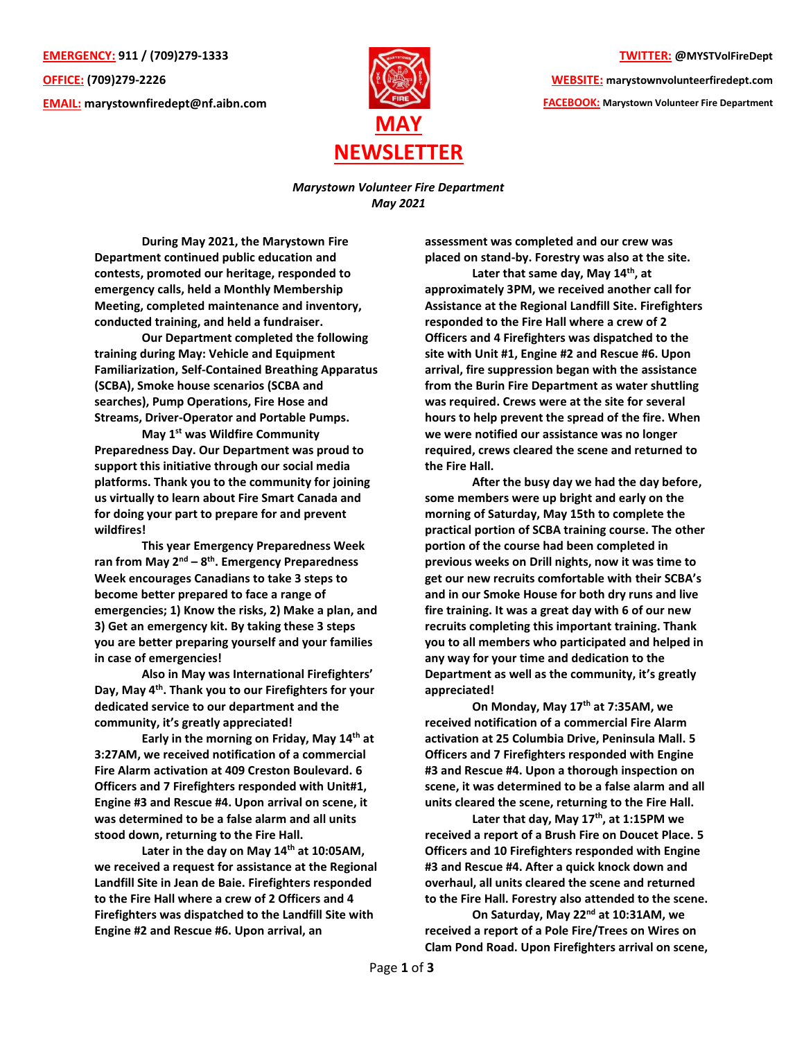**EMERGENCY: 911 / (709)279-1333 OFFICE: (709)279-2226 EMAIL: [marystownfiredept@nf.aibn.com](mailto:marystownfiredept@nf.aibn.com)**



**TWITTER: @MYSTVolFireDept**

**WEBSITE: marystownvolunteerfiredept.com FACEBOOK: Marystown Volunteer Fire Department**

## *Marystown Volunteer Fire Department May 2021*

**During May 2021, the Marystown Fire Department continued public education and contests, promoted our heritage, responded to emergency calls, held a Monthly Membership Meeting, completed maintenance and inventory, conducted training, and held a fundraiser.** 

**Our Department completed the following training during May: Vehicle and Equipment Familiarization, Self-Contained Breathing Apparatus (SCBA), Smoke house scenarios (SCBA and searches), Pump Operations, Fire Hose and Streams, Driver-Operator and Portable Pumps.**

**May 1st was Wildfire Community Preparedness Day. Our Department was proud to support this initiative through our social media platforms. Thank you to the community for joining us virtually to learn about Fire Smart Canada and for doing your part to prepare for and prevent wildfires!**

**This year Emergency Preparedness Week ran from May 2nd – 8 th. Emergency Preparedness Week encourages Canadians to take 3 steps to become better prepared to face a range of emergencies; 1) Know the risks, 2) Make a plan, and 3) Get an emergency kit. By taking these 3 steps you are better preparing yourself and your families in case of emergencies!**

**Also in May was International Firefighters' Day, May 4th. Thank you to our Firefighters for your dedicated service to our department and the community, it's greatly appreciated!**

**Early in the morning on Friday, May 14th at 3:27AM, we received notification of a commercial Fire Alarm activation at 409 Creston Boulevard. 6 Officers and 7 Firefighters responded with Unit#1, Engine #3 and Rescue #4. Upon arrival on scene, it was determined to be a false alarm and all units stood down, returning to the Fire Hall.** 

**Later in the day on May 14th at 10:05AM, we received a request for assistance at the Regional Landfill Site in Jean de Baie. Firefighters responded to the Fire Hall where a crew of 2 Officers and 4 Firefighters was dispatched to the Landfill Site with Engine #2 and Rescue #6. Upon arrival, an** 

**assessment was completed and our crew was placed on stand-by. Forestry was also at the site.**

**Later that same day, May 14th, at approximately 3PM, we received another call for Assistance at the Regional Landfill Site. Firefighters responded to the Fire Hall where a crew of 2 Officers and 4 Firefighters was dispatched to the site with Unit #1, Engine #2 and Rescue #6. Upon arrival, fire suppression began with the assistance from the Burin Fire Department as water shuttling was required. Crews were at the site for several hours to help prevent the spread of the fire. When we were notified our assistance was no longer required, crews cleared the scene and returned to the Fire Hall.** 

**After the busy day we had the day before, some members were up bright and early on the morning of Saturday, May 15th to complete the practical portion of SCBA training course. The other portion of the course had been completed in previous weeks on Drill nights, now it was time to get our new recruits comfortable with their SCBA's and in our Smoke House for both dry runs and live fire training. It was a great day with 6 of our new recruits completing this important training. Thank you to all members who participated and helped in any way for your time and dedication to the Department as well as the community, it's greatly appreciated!**

**On Monday, May 17th at 7:35AM, we received notification of a commercial Fire Alarm activation at 25 Columbia Drive, Peninsula Mall. 5 Officers and 7 Firefighters responded with Engine #3 and Rescue #4. Upon a thorough inspection on scene, it was determined to be a false alarm and all units cleared the scene, returning to the Fire Hall.** 

**Later that day, May 17th, at 1:15PM we received a report of a Brush Fire on Doucet Place. 5 Officers and 10 Firefighters responded with Engine #3 and Rescue #4. After a quick knock down and overhaul, all units cleared the scene and returned to the Fire Hall. Forestry also attended to the scene.**

**On Saturday, May 22nd at 10:31AM, we received a report of a Pole Fire/Trees on Wires on Clam Pond Road. Upon Firefighters arrival on scene,**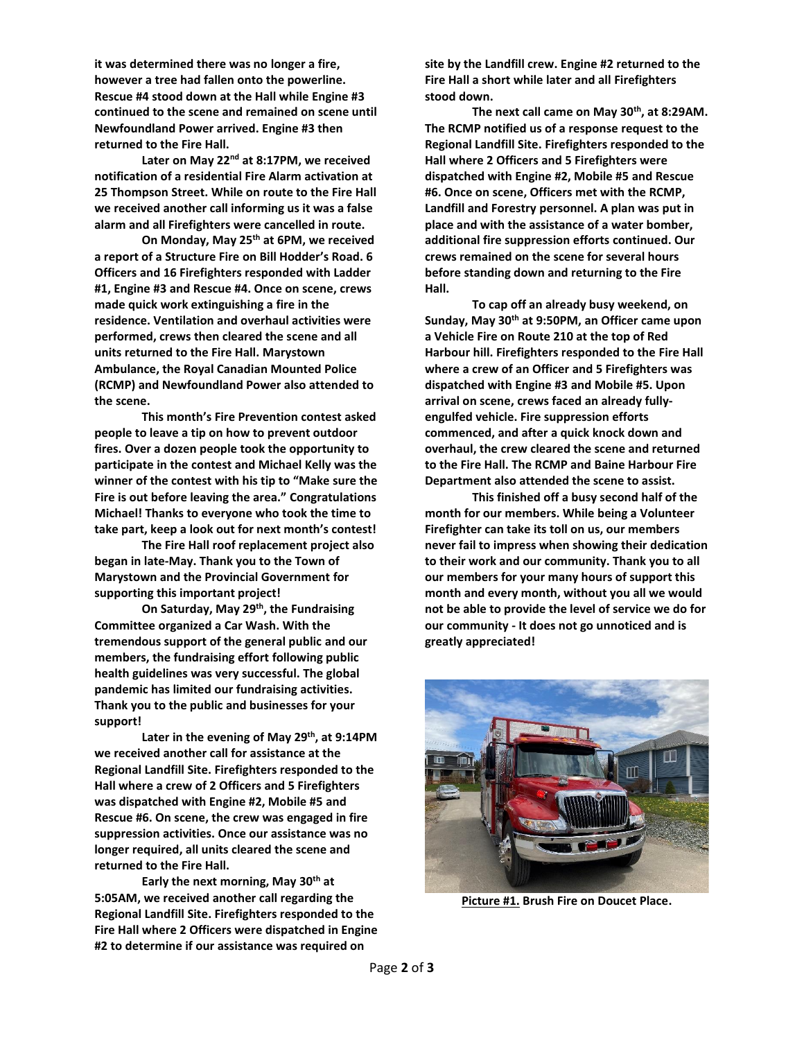**it was determined there was no longer a fire, however a tree had fallen onto the powerline. Rescue #4 stood down at the Hall while Engine #3 continued to the scene and remained on scene until Newfoundland Power arrived. Engine #3 then returned to the Fire Hall.**

**Later on May 22nd at 8:17PM, we received notification of a residential Fire Alarm activation at 25 Thompson Street. While on route to the Fire Hall we received another call informing us it was a false alarm and all Firefighters were cancelled in route.** 

**On Monday, May 25th at 6PM, we received a report of a Structure Fire on Bill Hodder's Road. 6 Officers and 16 Firefighters responded with Ladder #1, Engine #3 and Rescue #4. Once on scene, crews made quick work extinguishing a fire in the residence. Ventilation and overhaul activities were performed, crews then cleared the scene and all units returned to the Fire Hall. Marystown Ambulance, the Royal Canadian Mounted Police (RCMP) and Newfoundland Power also attended to the scene.**

**This month's Fire Prevention contest asked people to leave a tip on how to prevent outdoor fires. Over a dozen people took the opportunity to participate in the contest and Michael Kelly was the winner of the contest with his tip to "Make sure the Fire is out before leaving the area." Congratulations Michael! Thanks to everyone who took the time to take part, keep a look out for next month's contest!** 

**The Fire Hall roof replacement project also began in late-May. Thank you to the Town of Marystown and the Provincial Government for supporting this important project!**

**On Saturday, May 29th , the Fundraising Committee organized a Car Wash. With the tremendous support of the general public and our members, the fundraising effort following public health guidelines was very successful. The global pandemic has limited our fundraising activities. Thank you to the public and businesses for your support!**

**Later in the evening of May 29th , at 9:14PM we received another call for assistance at the Regional Landfill Site. Firefighters responded to the Hall where a crew of 2 Officers and 5 Firefighters was dispatched with Engine #2, Mobile #5 and Rescue #6. On scene, the crew was engaged in fire suppression activities. Once our assistance was no longer required, all units cleared the scene and returned to the Fire Hall.** 

**Early the next morning, May 30th at 5:05AM, we received another call regarding the Regional Landfill Site. Firefighters responded to the Fire Hall where 2 Officers were dispatched in Engine #2 to determine if our assistance was required on** 

**site by the Landfill crew. Engine #2 returned to the Fire Hall a short while later and all Firefighters stood down.** 

**The next call came on May 30th, at 8:29AM. The RCMP notified us of a response request to the Regional Landfill Site. Firefighters responded to the Hall where 2 Officers and 5 Firefighters were dispatched with Engine #2, Mobile #5 and Rescue #6. Once on scene, Officers met with the RCMP, Landfill and Forestry personnel. A plan was put in place and with the assistance of a water bomber, additional fire suppression efforts continued. Our crews remained on the scene for several hours before standing down and returning to the Fire Hall.** 

**To cap off an already busy weekend, on Sunday, May 30th at 9:50PM, an Officer came upon a Vehicle Fire on Route 210 at the top of Red Harbour hill. Firefighters responded to the Fire Hall where a crew of an Officer and 5 Firefighters was dispatched with Engine #3 and Mobile #5. Upon arrival on scene, crews faced an already fullyengulfed vehicle. Fire suppression efforts commenced, and after a quick knock down and overhaul, the crew cleared the scene and returned to the Fire Hall. The RCMP and Baine Harbour Fire Department also attended the scene to assist.** 

**This finished off a busy second half of the month for our members. While being a Volunteer Firefighter can take its toll on us, our members never fail to impress when showing their dedication to their work and our community. Thank you to all our members for your many hours of support this month and every month, without you all we would not be able to provide the level of service we do for our community - It does not go unnoticed and is greatly appreciated!** 



**Picture #1. Brush Fire on Doucet Place.**